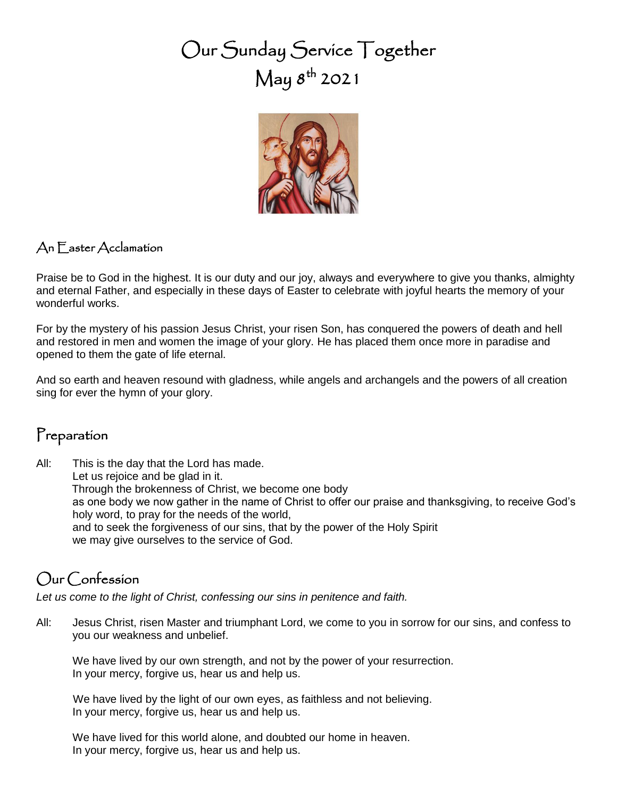# Our Sunday Service Together  $\operatorname{\mathsf{May}} 8^{\text{th}}$  2021



#### An Easter Acclamation

Praise be to God in the highest. It is our duty and our joy, always and everywhere to give you thanks, almighty and eternal Father, and especially in these days of Easter to celebrate with joyful hearts the memory of your wonderful works.

For by the mystery of his passion Jesus Christ, your risen Son, has conquered the powers of death and hell and restored in men and women the image of your glory. He has placed them once more in paradise and opened to them the gate of life eternal.

And so earth and heaven resound with gladness, while angels and archangels and the powers of all creation sing for ever the hymn of your glory.

#### Preparation

All: This is the day that the Lord has made. Let us rejoice and be glad in it. Through the brokenness of Christ, we become one body as one body we now gather in the name of Christ to offer our praise and thanksgiving, to receive God's holy word, to pray for the needs of the world, and to seek the forgiveness of our sins, that by the power of the Holy Spirit we may give ourselves to the service of God.

#### Our Confession

*Let us come to the light of Christ, confessing our sins in penitence and faith.*

All: Jesus Christ, risen Master and triumphant Lord, we come to you in sorrow for our sins, and confess to you our weakness and unbelief.

We have lived by our own strength, and not by the power of your resurrection. In your mercy, forgive us, hear us and help us.

We have lived by the light of our own eyes, as faithless and not believing. In your mercy, forgive us, hear us and help us.

We have lived for this world alone, and doubted our home in heaven. In your mercy, forgive us, hear us and help us.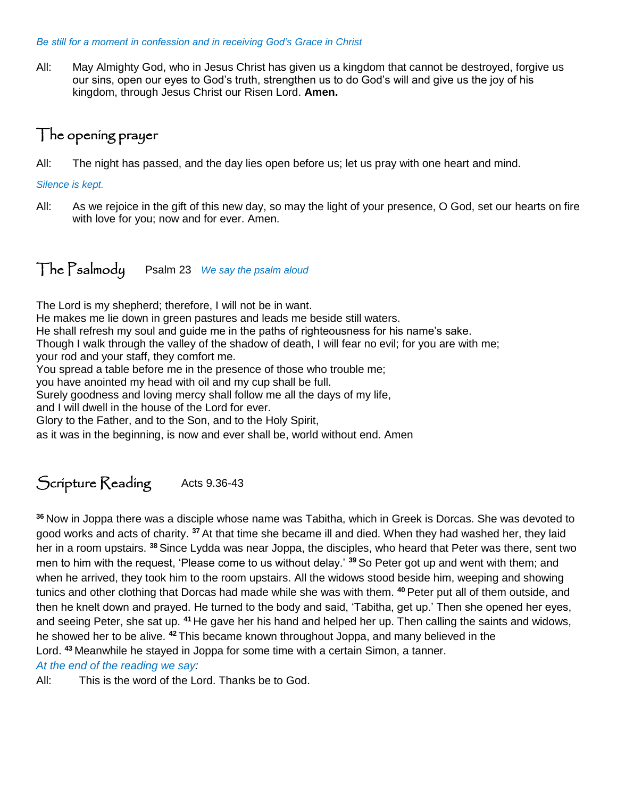#### *Be still for a moment in confession and in receiving God's Grace in Christ*

All: May Almighty God, who in Jesus Christ has given us a kingdom that cannot be destroyed, forgive us our sins, open our eyes to God's truth, strengthen us to do God's will and give us the joy of his kingdom, through Jesus Christ our Risen Lord. **Amen.**

#### The opening prayer

All: The night has passed, and the day lies open before us; let us pray with one heart and mind.

#### *Silence is kept.*

All: As we rejoice in the gift of this new day, so may the light of your presence, O God, set our hearts on fire with love for you; now and for ever. Amen.

#### The Psalmody Psalm 23 *We say the psalm aloud*

The Lord is my shepherd; therefore, I will not be in want.

He makes me lie down in green pastures and leads me beside still waters.

He shall refresh my soul and guide me in the paths of righteousness for his name's sake.

Though I walk through the valley of the shadow of death, I will fear no evil; for you are with me;

your rod and your staff, they comfort me.

You spread a table before me in the presence of those who trouble me;

you have anointed my head with oil and my cup shall be full.

Surely goodness and loving mercy shall follow me all the days of my life,

and I will dwell in the house of the Lord for ever.

Glory to the Father, and to the Son, and to the Holy Spirit,

as it was in the beginning, is now and ever shall be, world without end. Amen

### Scripture Reading Acts 9.36-43

**<sup>36</sup>** Now in Joppa there was a disciple whose name was Tabitha, which in Greek is Dorcas. She was devoted to good works and acts of charity. **<sup>37</sup>** At that time she became ill and died. When they had washed her, they laid her in a room upstairs. **<sup>38</sup>** Since Lydda was near Joppa, the disciples, who heard that Peter was there, sent two men to him with the request, 'Please come to us without delay.' **<sup>39</sup>** So Peter got up and went with them; and when he arrived, they took him to the room upstairs. All the widows stood beside him, weeping and showing tunics and other clothing that Dorcas had made while she was with them. **<sup>40</sup>** Peter put all of them outside, and then he knelt down and prayed. He turned to the body and said, 'Tabitha, get up.' Then she opened her eyes, and seeing Peter, she sat up. **<sup>41</sup>** He gave her his hand and helped her up. Then calling the saints and widows, he showed her to be alive. **<sup>42</sup>** This became known throughout Joppa, and many believed in the Lord. **<sup>43</sup>** Meanwhile he stayed in Joppa for some time with a certain Simon, a tanner.

*At the end of the reading we say:*

All: This is the word of the Lord. Thanks be to God.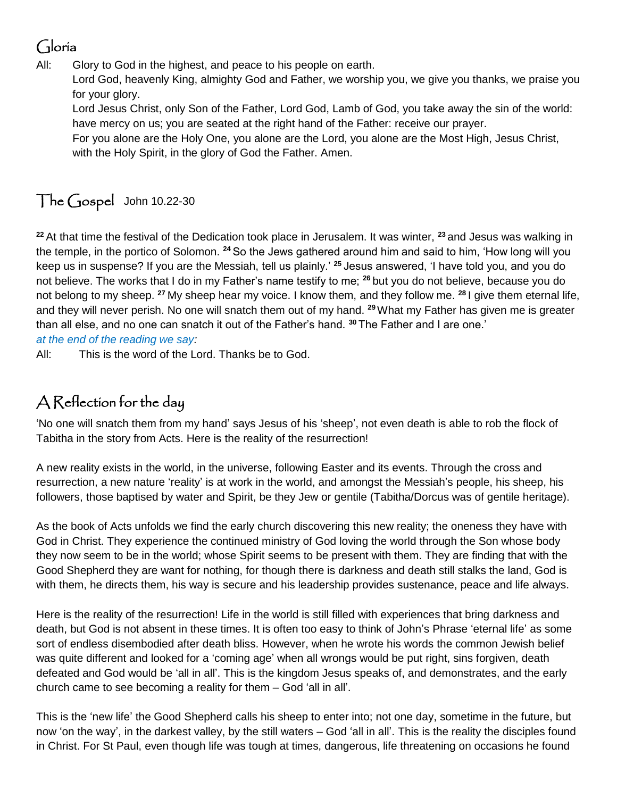# Gloria

All: Glory to God in the highest, and peace to his people on earth.

Lord God, heavenly King, almighty God and Father, we worship you, we give you thanks, we praise you for your glory.

Lord Jesus Christ, only Son of the Father, Lord God, Lamb of God, you take away the sin of the world: have mercy on us; you are seated at the right hand of the Father: receive our prayer.

For you alone are the Holy One, you alone are the Lord, you alone are the Most High, Jesus Christ, with the Holy Spirit, in the glory of God the Father. Amen.

# The Gospel John 10.22-30

**<sup>22</sup>** At that time the festival of the Dedication took place in Jerusalem. It was winter, **<sup>23</sup>** and Jesus was walking in the temple, in the portico of Solomon. **<sup>24</sup>** So the Jews gathered around him and said to him, 'How long will you keep us in suspense? If you are the Messiah, tell us plainly.' **<sup>25</sup>** Jesus answered, 'I have told you, and you do not believe. The works that I do in my Father's name testify to me; **<sup>26</sup>** but you do not believe, because you do not belong to my sheep. **<sup>27</sup>** My sheep hear my voice. I know them, and they follow me. **<sup>28</sup>** I give them eternal life, and they will never perish. No one will snatch them out of my hand. **<sup>29</sup>**What my Father has given me is greater than all else, and no one can snatch it out of the Father's hand. **<sup>30</sup>** The Father and I are one.' *at the end of the reading we say:*

All: This is the word of the Lord. Thanks be to God.

## A Reflection for the day

'No one will snatch them from my hand' says Jesus of his 'sheep', not even death is able to rob the flock of Tabitha in the story from Acts. Here is the reality of the resurrection!

A new reality exists in the world, in the universe, following Easter and its events. Through the cross and resurrection, a new nature 'reality' is at work in the world, and amongst the Messiah's people, his sheep, his followers, those baptised by water and Spirit, be they Jew or gentile (Tabitha/Dorcus was of gentile heritage).

As the book of Acts unfolds we find the early church discovering this new reality; the oneness they have with God in Christ. They experience the continued ministry of God loving the world through the Son whose body they now seem to be in the world; whose Spirit seems to be present with them. They are finding that with the Good Shepherd they are want for nothing, for though there is darkness and death still stalks the land, God is with them, he directs them, his way is secure and his leadership provides sustenance, peace and life always.

Here is the reality of the resurrection! Life in the world is still filled with experiences that bring darkness and death, but God is not absent in these times. It is often too easy to think of John's Phrase 'eternal life' as some sort of endless disembodied after death bliss. However, when he wrote his words the common Jewish belief was quite different and looked for a 'coming age' when all wrongs would be put right, sins forgiven, death defeated and God would be 'all in all'. This is the kingdom Jesus speaks of, and demonstrates, and the early church came to see becoming a reality for them – God 'all in all'.

This is the 'new life' the Good Shepherd calls his sheep to enter into; not one day, sometime in the future, but now 'on the way', in the darkest valley, by the still waters – God 'all in all'. This is the reality the disciples found in Christ. For St Paul, even though life was tough at times, dangerous, life threatening on occasions he found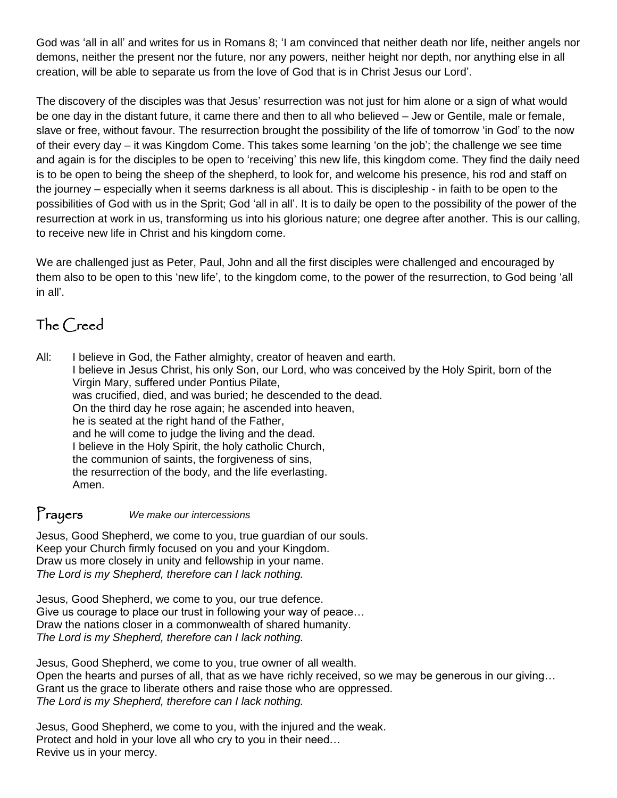God was 'all in all' and writes for us in Romans 8; 'I am convinced that neither death nor life, neither angels nor demons, neither the present nor the future, nor any powers, neither height nor depth, nor anything else in all creation, will be able to separate us from the love of God that is in Christ Jesus our Lord'.

The discovery of the disciples was that Jesus' resurrection was not just for him alone or a sign of what would be one day in the distant future, it came there and then to all who believed – Jew or Gentile, male or female, slave or free, without favour. The resurrection brought the possibility of the life of tomorrow 'in God' to the now of their every day – it was Kingdom Come. This takes some learning 'on the job'; the challenge we see time and again is for the disciples to be open to 'receiving' this new life, this kingdom come. They find the daily need is to be open to being the sheep of the shepherd, to look for, and welcome his presence, his rod and staff on the journey – especially when it seems darkness is all about. This is discipleship - in faith to be open to the possibilities of God with us in the Sprit; God 'all in all'. It is to daily be open to the possibility of the power of the resurrection at work in us, transforming us into his glorious nature; one degree after another. This is our calling, to receive new life in Christ and his kingdom come.

We are challenged just as Peter, Paul, John and all the first disciples were challenged and encouraged by them also to be open to this 'new life', to the kingdom come, to the power of the resurrection, to God being 'all in all'.

### The Creed

All: I believe in God, the Father almighty, creator of heaven and earth. I believe in Jesus Christ, his only Son, our Lord, who was conceived by the Holy Spirit, born of the Virgin Mary, suffered under Pontius Pilate, was crucified, died, and was buried; he descended to the dead. On the third day he rose again; he ascended into heaven, he is seated at the right hand of the Father, and he will come to judge the living and the dead. I believe in the Holy Spirit, the holy catholic Church, the communion of saints, the forgiveness of sins, the resurrection of the body, and the life everlasting. Amen.

### Prayers *We make our intercessions*

Jesus, Good Shepherd, we come to you, true guardian of our souls. Keep your Church firmly focused on you and your Kingdom. Draw us more closely in unity and fellowship in your name. *The Lord is my Shepherd, therefore can I lack nothing.*

Jesus, Good Shepherd, we come to you, our true defence. Give us courage to place our trust in following your way of peace… Draw the nations closer in a commonwealth of shared humanity. *The Lord is my Shepherd, therefore can I lack nothing.*

Jesus, Good Shepherd, we come to you, true owner of all wealth. Open the hearts and purses of all, that as we have richly received, so we may be generous in our giving… Grant us the grace to liberate others and raise those who are oppressed. *The Lord is my Shepherd, therefore can I lack nothing.*

Jesus, Good Shepherd, we come to you, with the injured and the weak. Protect and hold in your love all who cry to you in their need… Revive us in your mercy.